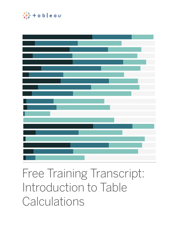

# Free Training Transcript: Introduction to Table **Calculations**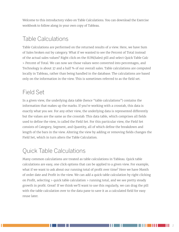Welcome to this introductory video on Table Calculations. You can download the Exercise workbook to follow along in your own copy of Tableau.

#### Table Calculations

Table Calculations are performed on the returned results of a view. Here, we have Sum of Sales broken out by category. What if we wanted to see the Percent of Total instead of the actual sales values? Right click on the SUM(Sales) pill and select Quick Table Calc > Percent of Total. We can now see those values were converted into percentages, and Technology is about 37 and a half % of our overall sales. Table calculations are computed locally in Tableau, rather than being handled in the database. The calculations are based only on the information in the view. This is sometimes referred to as the field set.

### Field Set

In a given view, the underlying data table (hence "table calculations") contains the information that makes up the marks. If you're working with a crosstab, this data is exactly what you see. For any other view, the underlying data is represented differently but the values are the same as the crosstab. This data table, which comprises all fields used to define the view, is called the Field Set. For this particular view, the Field Set consists of Category, Segment, and Quantity, all of which define the breakdown and length of the bars in the view. Altering the view by adding or removing fields changes the Field Set, which in turn alters the Table Calculation.

## Quick Table Calculations

Many common calculations are treated as table calculations in Tableau. Quick table calculations are easy, one click options that can be applied to a given view. For example, what if we want to ask about our running total of profit over time? Here we have Month of order date and Profit in the view. We can add a quick table calculation by right clicking on Profit, selecting > quick table calculation > running total, and we see pretty steady growth in profit. Great! If we think we'll want to use this regularly, we can drag the pill with the table calculation over to the data pane to save it as a calculated field for easy reuse later.

HH I